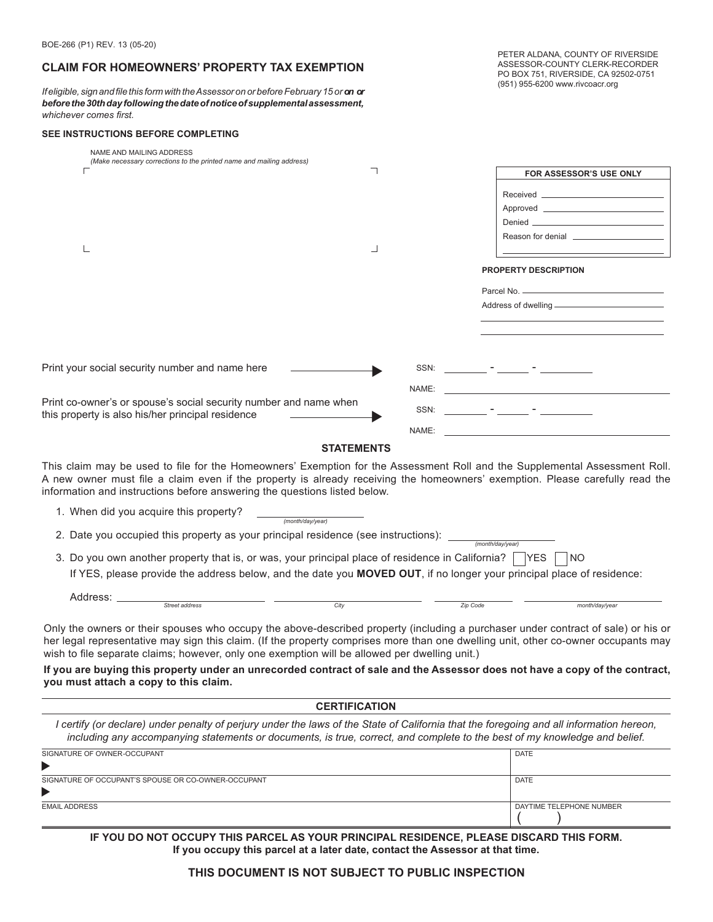## **CLAIM FOR HOMEOWNERS' PROPERTY TAX EXEMPTION**

*Ifeligible, signandfile this form with theAssessor on or beforeFebruary 15 oron or before the 30th day following the date of notice of supplemental assessment, whichever comes first.*

#### **SEE INSTRUCTIONS BEFORE COMPLETING**

|                                                                                                                                                                                                                                                                                                                                                                                                                                 | ┐     | FOR ASSESSOR'S USE ONLY                                                                                                                                                                                                              |
|---------------------------------------------------------------------------------------------------------------------------------------------------------------------------------------------------------------------------------------------------------------------------------------------------------------------------------------------------------------------------------------------------------------------------------|-------|--------------------------------------------------------------------------------------------------------------------------------------------------------------------------------------------------------------------------------------|
|                                                                                                                                                                                                                                                                                                                                                                                                                                 |       |                                                                                                                                                                                                                                      |
|                                                                                                                                                                                                                                                                                                                                                                                                                                 |       |                                                                                                                                                                                                                                      |
|                                                                                                                                                                                                                                                                                                                                                                                                                                 |       | Denied <b>Denied Contract Contract Contract Contract Contract Contract Contract Contract Contract Contract Contract Contract Contract Contract Contract Contract Contract Contract Contract Contract Contract Contract Contrac</b>   |
|                                                                                                                                                                                                                                                                                                                                                                                                                                 |       | Reason for denial <b>contains the set of the set of the set of the set of the set of the set of the set of the set of the set of the set of the set of the set of the set of the set of the set of the set of the set of the set</b> |
|                                                                                                                                                                                                                                                                                                                                                                                                                                 | ┙     |                                                                                                                                                                                                                                      |
|                                                                                                                                                                                                                                                                                                                                                                                                                                 |       | <b>PROPERTY DESCRIPTION</b>                                                                                                                                                                                                          |
|                                                                                                                                                                                                                                                                                                                                                                                                                                 |       |                                                                                                                                                                                                                                      |
|                                                                                                                                                                                                                                                                                                                                                                                                                                 |       |                                                                                                                                                                                                                                      |
|                                                                                                                                                                                                                                                                                                                                                                                                                                 |       |                                                                                                                                                                                                                                      |
|                                                                                                                                                                                                                                                                                                                                                                                                                                 |       |                                                                                                                                                                                                                                      |
| Print your social security number and name here                                                                                                                                                                                                                                                                                                                                                                                 |       | SSN: $    -$                                                                                                                                                                                                                         |
|                                                                                                                                                                                                                                                                                                                                                                                                                                 | NAME: |                                                                                                                                                                                                                                      |
| Print co-owner's or spouse's social security number and name when<br>this property is also his/her principal residence                                                                                                                                                                                                                                                                                                          | SSN:  | the contract of the contract of the contract of                                                                                                                                                                                      |
|                                                                                                                                                                                                                                                                                                                                                                                                                                 | NAME: |                                                                                                                                                                                                                                      |
| <b>STATEMENTS</b>                                                                                                                                                                                                                                                                                                                                                                                                               |       |                                                                                                                                                                                                                                      |
|                                                                                                                                                                                                                                                                                                                                                                                                                                 |       |                                                                                                                                                                                                                                      |
|                                                                                                                                                                                                                                                                                                                                                                                                                                 |       |                                                                                                                                                                                                                                      |
| 1. When did you acquire this property?<br>(month/day/year)                                                                                                                                                                                                                                                                                                                                                                      |       |                                                                                                                                                                                                                                      |
| This claim may be used to file for the Homeowners' Exemption for the Assessment Roll and the Supplemental Assessment Roll.<br>A new owner must file a claim even if the property is already receiving the homeowners' exemption. Please carefully read the<br>information and instructions before answering the questions listed below.<br>2. Date you occupied this property as your principal residence (see instructions): _ |       | (month/day/year)                                                                                                                                                                                                                     |
| 3. Do you own another property that is, or was, your principal place of residence in California?                                                                                                                                                                                                                                                                                                                                |       | <b>YES</b><br>NO.                                                                                                                                                                                                                    |
| If YES, please provide the address below, and the date you MOVED OUT, if no longer your principal place of residence:                                                                                                                                                                                                                                                                                                           |       |                                                                                                                                                                                                                                      |
| Address:<br>Street address<br>City                                                                                                                                                                                                                                                                                                                                                                                              |       | Zip Code                                                                                                                                                                                                                             |

**If you are buying this property under an unrecorded contract of sale and the Assessor does not have a copy of the contract, you must attach a copy to this claim.**

| <b>CERTIFICATION</b> |
|----------------------|
|----------------------|

*I certify (or declare) under penalty of perjury under the laws of the State of California that the foregoing and all information hereon, including any accompanying statements or documents, is true, correct, and complete to the best of my knowledge and belief.*

| SIGNATURE OF OWNER-OCCUPANT                         | DATE                     |
|-----------------------------------------------------|--------------------------|
|                                                     |                          |
| SIGNATURE OF OCCUPANT'S SPOUSE OR CO-OWNER-OCCUPANT | <b>DATE</b>              |
|                                                     |                          |
| <b>EMAIL ADDRESS</b>                                | DAYTIME TELEPHONE NUMBER |
|                                                     |                          |

**IF YOU DO NOT OCCUPY THIS PARCEL AS YOUR PRINCIPAL RESIDENCE, PLEASE DISCARD THIS FORM. If you occupy this parcel at a later date, contact the Assessor at that time.**

PETER ALDANA, COUNTY OF RIVERSIDE ASSESSOR-COUNTY CLERK-RECORDER PO BOX 751, RIVERSIDE, CA 92502-0751 (951) 955-6200 www.rivcoacr.org